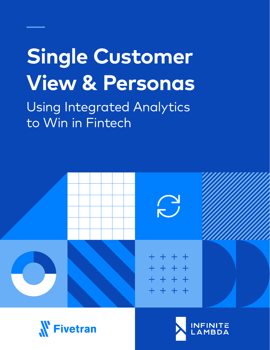# **Single Customer View & Personas**

Using Integrated Analytics to Win in Fintech





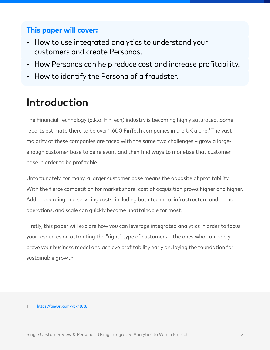#### **This paper will cover:**

- How to use integrated analytics to understand your customers and create Personas.
- How Personas can help reduce cost and increase profitability.
- How to identify the Persona of a fraudster.

### **Introduction**

The Financial Technology (a.k.a. FinTech) industry is becoming highly saturated. Some reports estimate there to be over 1,600 FinTech companies in the UK alone!<sup>1</sup> The vast majority of these companies are faced with the same two challenges – grow a largeenough customer base to be relevant and then find ways to monetise that customer base in order to be profitable.

Unfortunately, for many, a larger customer base means the opposite of profitability. With the fierce competition for market share, cost of acquisition grows higher and higher. Add onboarding and servicing costs, including both technical infrastructure and human operations, and scale can quickly become unattainable for most.

Firstly, this paper will explore how you can leverage integrated analytics in order to focus your resources on attracting the "right" type of customers – the ones who can help you prove your business model and achieve profitability early on, laying the foundation for sustainable growth.

#### 1 <https://tinyurl.com/ybknt8t8>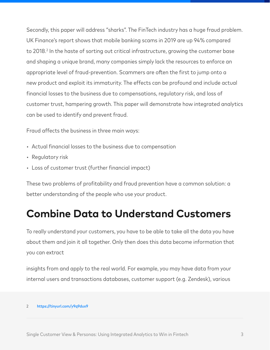Secondly, this paper will address "sharks". The FinTech industry has a huge fraud problem. UK Finance's report shows that mobile banking scams in 2019 are up 94% compared to 2018.<sup>2</sup> In the haste of sorting out critical infrastructure, growing the customer base and shaping a unique brand, many companies simply lack the resources to enforce an appropriate level of fraud-prevention. Scammers are often the first to jump onto a new product and exploit its immaturity. The effects can be profound and include actual financial losses to the business due to compensations, regulatory risk, and loss of customer trust, hampering growth. This paper will demonstrate how integrated analytics can be used to identify and prevent fraud.

Fraud affects the business in three main ways:

- Actual financial losses to the business due to compensation
- Regulatory risk
- Loss of customer trust (further financial impact)

These two problems of profitability and fraud prevention have a common solution: a better understanding of the people who use your product.

### **Combine Data to Understand Customers**

To really understand your customers, you have to be able to take all the data you have about them and join it all together. Only then does this data become information that you can extract

insights from and apply to the real world. For example, you may have data from your internal users and transactions databases, customer support (e.g. Zendesk), various

<sup>2</sup> <https://tinyurl.com/y9q9dux9>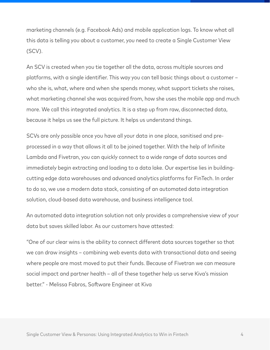marketing channels (e.g. Facebook Ads) and mobile application logs. To know what all this data is telling you about a customer, you need to create a Single Customer View (SCV).

An SCV is created when you tie together all the data, across multiple sources and platforms, with a single identifier. This way you can tell basic things about a customer – who she is, what, where and when she spends money, what support tickets she raises, what marketing channel she was acquired from, how she uses the mobile app and much more. We call this integrated analytics. It is a step up from raw, disconnected data, because it helps us see the full picture. It helps us understand things.

SCVs are only possible once you have all your data in one place, sanitised and preprocessed in a way that allows it all to be joined together. With the help of Infinite Lambda and Fivetran, you can quickly connect to a wide range of data sources and immediately begin extracting and loading to a data lake. Our expertise lies in buildingcutting edge data warehouses and advanced analytics platforms for FinTech. In order to do so, we use a modern data stack, consisting of an automated data integration solution, cloud-based data warehouse, and business intelligence tool.

An automated data integration solution not only provides a comprehensive view of your data but saves skilled labor. As our customers have attested:

"One of our clear wins is the ability to connect different data sources together so that we can draw insights – combining web events data with transactional data and seeing where people are most moved to put their funds. Because of Fivetran we can measure social impact and partner health – all of these together help us serve Kiva's mission better." - Melissa Fabros, Software Engineer at Kiva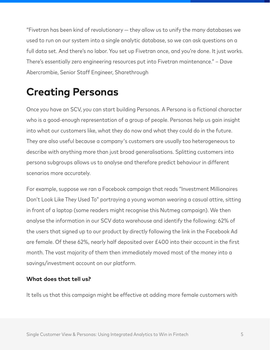"Fivetran has been kind of revolutionary — they allow us to unify the many databases we used to run on our system into a single analytic database, so we can ask questions on a full data set. And there's no labor. You set up Fivetran once, and you're done. It just works. There's essentially zero engineering resources put into Fivetran maintenance." – Dave Abercrombie, Senior Staff Engineer, Sharethrough

### **Creating Personas**

Once you have an SCV, you can start building Personas. A Persona is a fictional character who is a good-enough representation of a group of people. Personas help us gain insight into what our customers like, what they do now and what they could do in the future. They are also useful because a company's customers are usually too heterogeneous to describe with anything more than just broad generalisations. Splitting customers into persona subgroups allows us to analyse and therefore predict behaviour in different scenarios more accurately.

For example, suppose we ran a Facebook campaign that reads "Investment Millionaires Don't Look Like They Used To" portraying a young woman wearing a casual attire, sitting in front of a laptop (some readers might recognise this Nutmeg campaign). We then analyse the information in our SCV data warehouse and identify the following: 62% of the users that signed up to our product by directly following the link in the Facebook Ad are female. Of these 62%, nearly half deposited over £400 into their account in the first month. The vast majority of them then immediately moved most of the money into a savings/investment account on our platform.

#### **What does that tell us?**

It tells us that this campaign might be effective at adding more female customers with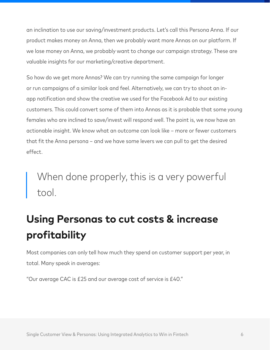an inclination to use our saving/investment products. Let's call this Persona Anna. If our product makes money on Anna, then we probably want more Annas on our platform. If we lose money on Anna, we probably want to change our campaign strategy. These are valuable insights for our marketing/creative department.

So how do we get more Annas? We can try running the same campaign for longer or run campaigns of a similar look and feel. Alternatively, we can try to shoot an inapp notification and show the creative we used for the Facebook Ad to our existing customers. This could convert some of them into Annas as it is probable that some young females who are inclined to save/invest will respond well. The point is, we now have an actionable insight. We know what an outcome can look like – more or fewer customers that fit the Anna persona – and we have some levers we can pull to get the desired effect.

## When done properly, this is a very powerful tool.

# **Using Personas to cut costs & increase profitability**

Most companies can only tell how much they spend on customer support per year, in total. Many speak in averages:

"Our average CAC is £25 and our average cost of service is £40."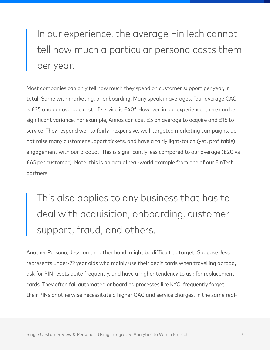In our experience, the average FinTech cannot tell how much a particular persona costs them per year.

Most companies can only tell how much they spend on customer support per year, in total. Same with marketing, or onboarding. Many speak in averages: "our average CAC is £25 and our average cost of service is £40". However, in our experience, there can be significant variance. For example, Annas can cost £5 on average to acquire and £15 to service. They respond well to fairly inexpensive, well-targeted marketing campaigns, do not raise many customer support tickets, and have a fairly light-touch (yet, profitable) engagement with our product. This is significantly less compared to our average (£20 vs £65 per customer). Note: this is an actual real-world example from one of our FinTech partners.

This also applies to any business that has to deal with acquisition, onboarding, customer support, fraud, and others.

Another Persona, Jess, on the other hand, might be difficult to target. Suppose Jess represents under-22 year olds who mainly use their debit cards when travelling abroad, ask for PIN resets quite frequently, and have a higher tendency to ask for replacement cards. They often fail automated onboarding processes like KYC, frequently forget their PINs or otherwise necessitate a higher CAC and service charges. In the same real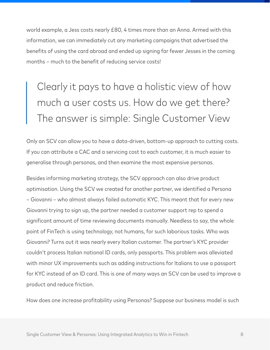world example, a Jess costs nearly £80, 4 times more than an Anna. Armed with this information, we can immediately cut any marketing campaigns that advertised the benefits of using the card abroad and ended up signing far fewer Jesses in the coming months – much to the benefit of reducing service costs!

# Clearly it pays to have a holistic view of how much a user costs us. How do we get there? The answer is simple: Single Customer View

Only an SCV can allow you to have a data-driven, bottom-up approach to cutting costs. If you can attribute a CAC and a servicing cost to each customer, it is much easier to generalise through personas, and then examine the most expensive personas.

Besides informing marketing strategy, the SCV approach can also drive product optimisation. Using the SCV we created for another partner, we identified a Persona – Giovanni – who almost always failed automatic KYC. This meant that for every new Giovanni trying to sign up, the partner needed a customer support rep to spend a significant amount of time reviewing documents manually. Needless to say, the whole point of FinTech is using technology, not humans, for such laborious tasks. Who was Giovanni? Turns out it was nearly every Italian customer. The partner's KYC provider couldn't process Italian national ID cards, only passports. This problem was alleviated with minor UX improvements such as adding instructions for Italians to use a passport for KYC instead of an ID card. This is one of many ways an SCV can be used to improve a product and reduce friction.

How does one increase profitability using Personas? Suppose our business model is such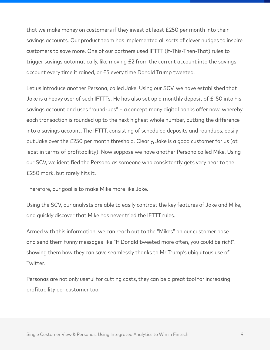that we make money on customers if they invest at least £250 per month into their savings accounts. Our product team has implemented all sorts of clever nudges to inspire customers to save more. One of our partners used IFTTT (If-This-Then-That) rules to trigger savings automatically, like moving £2 from the current account into the savings account every time it rained, or £5 every time Donald Trump tweeted.

Let us introduce another Persona, called Jake. Using our SCV, we have established that Jake is a heavy user of such IFTTTs. He has also set up a monthly deposit of £150 into his savings account and uses "round-ups" – a concept many digital banks offer now, whereby each transaction is rounded up to the next highest whole number, putting the difference into a savings account. The IFTTT, consisting of scheduled deposits and roundups, easily put Jake over the £250 per month threshold. Clearly, Jake is a good customer for us (at least in terms of profitability). Now suppose we have another Persona called Mike. Using our SCV, we identified the Persona as someone who consistently gets very near to the £250 mark, but rarely hits it.

Therefore, our goal is to make Mike more like Jake.

Using the SCV, our analysts are able to easily contrast the key features of Jake and Mike, and quickly discover that Mike has never tried the IFTTT rules.

Armed with this information, we can reach out to the "Mikes" on our customer base and send them funny messages like "If Donald tweeted more often, you could be rich!", showing them how they can save seamlessly thanks to Mr Trump's ubiquitous use of Twitter.

Personas are not only useful for cutting costs, they can be a great tool for increasing profitability per customer too.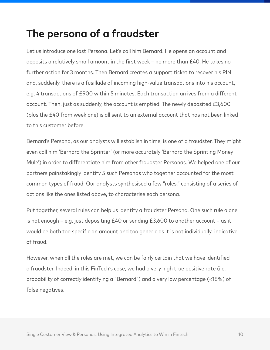#### **The persona of a fraudster**

Let us introduce one last Persona. Let's call him Bernard. He opens an account and deposits a relatively small amount in the first week – no more than £40. He takes no further action for 3 months. Then Bernard creates a support ticket to recover his PIN and, suddenly, there is a fusillade of incoming high-value transactions into his account, e.g. 4 transactions of £900 within 5 minutes. Each transaction arrives from a different account. Then, just as suddenly, the account is emptied. The newly deposited £3,600 (plus the £40 from week one) is all sent to an external account that has not been linked to this customer before.

Bernard's Persona, as our analysts will establish in time, is one of a fraudster. They might even call him 'Bernard the Sprinter' (or more accurately 'Bernard the Sprinting Money Mule') in order to differentiate him from other fraudster Personas. We helped one of our partners painstakingly identify 5 such Personas who together accounted for the most common types of fraud. Our analysts synthesised a few "rules," consisting of a series of actions like the ones listed above, to characterise each persona.

Put together, several rules can help us identify a fraudster Persona. One such rule alone is not enough – e.g. just depositing £40 or sending £3,600 to another account – as it would be both too specific an amount and too generic as it is not individually indicative of fraud.

However, when all the rules are met, we can be fairly certain that we have identified a fraudster. Indeed, in this FinTech's case, we had a very high true positive rate (i.e. probability of correctly identifying a "Bernard") and a very low percentage (<18%) of false negatives.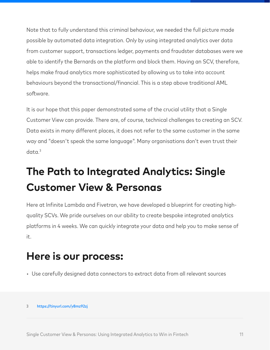Note that to fully understand this criminal behaviour, we needed the full picture made possible by automated data integration. Only by using integrated analytics over data from customer support, transactions ledger, payments and fraudster databases were we able to identify the Bernards on the platform and block them. Having an SCV, therefore, helps make fraud analytics more sophisticated by allowing us to take into account behaviours beyond the transactional/financial. This is a step above traditional AML software.

It is our hope that this paper demonstrated some of the crucial utility that a Single Customer View can provide. There are, of course, technical challenges to creating an SCV. Data exists in many different places, it does not refer to the same customer in the same way and "doesn't speak the same language". Many organisations don't even trust their data<sup>3</sup>

# **The Path to Integrated Analytics: Single Customer View & Personas**

Here at Infinite Lambda and Fivetran, we have developed a blueprint for creating highquality SCVs. We pride ourselves on our ability to create bespoke integrated analytics platforms in 4 weeks. We can quickly integrate your data and help you to make sense of it.

### **Here is our process:**

- Use carefully designed data connectors to extract data from all relevant sources
- 3 <https://tinyurl.com/y8mz92zj>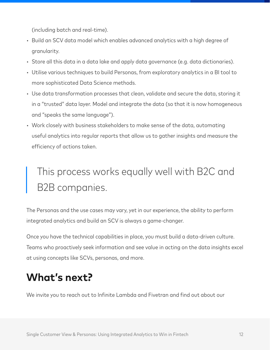(including batch and real-time).

- Build an SCV data model which enables advanced analytics with a high degree of granularity.
- Store all this data in a data lake and apply data governance (e.g. data dictionaries).
- Utilise various techniques to build Personas, from exploratory analytics in a BI tool to more sophisticated Data Science methods.
- Use data transformation processes that clean, validate and secure the data, storing it in a "trusted" data layer. Model and integrate the data (so that it is now homogeneous and "speaks the same language").
- Work closely with business stakeholders to make sense of the data, automating useful analytics into regular reports that allow us to gather insights and measure the efficiency of actions taken.

# I his process works equally well with B2C and B2B companies.

The Personas and the use cases may vary, yet in our experience, the ability to perform integrated analytics and build an SCV is always a game-changer.

Once you have the technical capabilities in place, you must build a data-driven culture. Teams who proactively seek information and see value in acting on the data insights excel at using concepts like SCVs, personas, and more.

### **What's next?**

We invite you to reach out to Infinite Lambda and Fivetran and find out about our